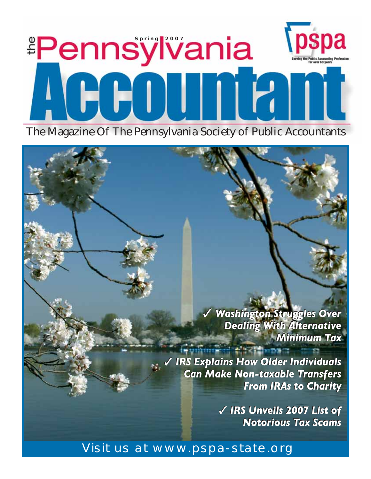# **pspa Pennsylvania**  $[HH1]$

The Magazine Of The Pennsylvania Society of Public Accountants

✓ *Washington Struggles Over Dealing With Alternative Minimum Tax Minimum Tax* ✓ *Washington Struggles Over Dealing With Alternative*

✓ *IRS Explains How Older Individuals*  ✓ *IRS Explains How Older Individuals Can Make Non-taxable Transfers Can Make Non-taxable Transfers From IRAs to Charity From IRAs to Charity*

> ✓ *IRS Unveils 2007 List of* ✓ *IRS Unveils 2007 List of Notorious Tax Scams Notorious Tax Scams*

# Visit us at www.pspa-state.org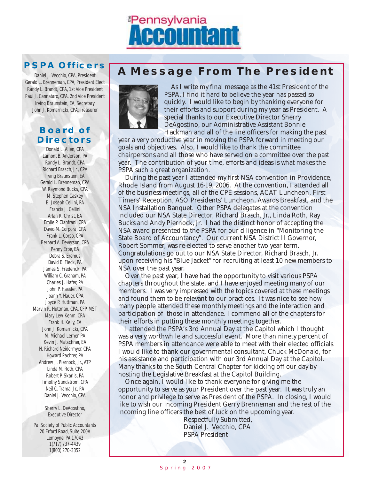

## **PSPA Officers**

Daniel J. Vecchio, CPA, President Gerald L. Brenneman, CPA, President Elect Randy L. Brandt, CPA, 1st Vice President Paul J. Cannataro, CPA, 2nd Vice President Irving Braunstein, EA, Secretary John J. Komarnicki, CPA. Treasurer

## **Board of Directors**

Donald L. Allen, CPA Lamont B. Anderson, PA Randy L. Brandt, CPA Richard Brasch, Jr., CPA Irving Braunstein, EA Gerald L. Brenneman, CPA W. Raymond Bucks, CPA M. Stephen Caskey B. Joseph Cellini, PA Francis J. Cellini Arlan R. Christ, EA Emile P. Cianfrani, CPA David M. Corpora, CPA Frank L. Corso, CPA Bernard A. Deverson, CPA Penny Erbe, EA Debra S. Eremus David E. Fleck, PA James S. Frederick, PA William C. Graham, PA Charles J. Hafer, PA John P. Hassler, PA Joann Y. Hauer, CPA Joyce P. Huttman, PA Marvin R. Huttman, CPA, CFP, MST Mary Lew Kehm, CPA Frank H. Kelly, EA John J. Komarnicki, CPA M. Michael Lerner, PA Kevin J. Matschner, EA H. Richard Neidermyer, CPA Howard Pachter, PA Andrew J. Piernock, Jr., ATP Linda M. Roth, CPA Robert P. Skarlis, PA Timothy Sundstrom, CPA Neil C. Trama, Jr., PA Daniel J. Vecchio, CPA

> Sherry L. DeAgostino, Executive Director

Pa. Society of Public Accountants 20 Erford Road, Suite 200A Lemoyne, PA 17043 1(717) 737-4439 1(800) 270-3352

# **A Message From The President**



As I write my final message as the 41st President of the PSPA, I find it hard to believe the year has passed so quickly. I would like to begin by thanking everyone for their efforts and support during my year as President. A special thanks to our Executive Director Sherry DeAgostino, our Administrative Assistant Bonnie Hackman and all of the line officers for making the past

year a very productive year in moving the PSPA forward in meeting our goals and objectives. Also, I would like to thank the committee chairpersons and all those who have served on a committee over the past year. The contribution of your time, efforts and ideas is what makes the PSPA such a great organization.

During the past year I attended my first NSA convention in Providence, Rhode Island from August 16-19, 2006. At the convention, I attended all of the business meetings, all of the CPE sessions, ACAT Luncheon, First Timers' Reception, ASO Presidents' Luncheon, Awards Breakfast, and the NSA Installation Banquet. Other PSPA delegates at the convention included our NSA State Director, Richard Brasch, Jr., Linda Roth, Ray Bucks and Andy Piernock, Jr. I had the distinct honor of accepting the NSA award presented to the PSPA for our diligence in "Monitoring the State Board of Accountancy". Our current NSA District II Governor, Robert Sommer, was re-elected to serve another two year term. Congratulations go out to our NSA State Director, Richard Brasch, Jr. upon receiving his "Blue Jacket" for recruiting at least 10 new members to NSA over the past year.

Over the past year, I have had the opportunity to visit various PSPA chapters throughout the state, and I have enjoyed meeting many of our members. I was very impressed with the topics covered at these meetings and found them to be relevant to our practices. It was nice to see how many people attended these monthly meetings and the interaction and participation of those in attendance. I commend all of the chapters for their efforts in putting these monthly meetings together.

I attended the PSPA's 3rd Annual Day at the Capitol which I thought was a very worthwhile and successful event. More than ninety percent of PSPA members in attendance were able to meet with their elected officials. I would like to thank our governmental consultant, Chuck McDonald, for his assistance and participation with our 3rd Annual Day at the Capitol. Many thanks to the South Central Chapter for kicking off our day by hosting the Legislative Breakfast at the Capitol Building.

Once again, I would like to thank everyone for giving me the opportunity to serve as your President over the past year. It was truly an honor and privilege to serve as President of the PSPA. In closing, I would like to wish our incoming President Gerry Brenneman and the rest of the incoming line officers the best of luck on the upcoming year.

Respectfully Submitted, Daniel J. Vecchio, CPA PSPA President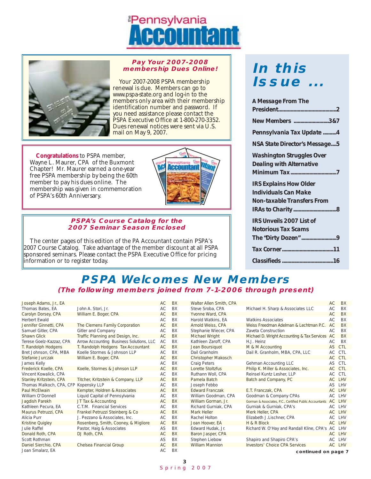# **Pennsylvania**



#### **Pay Your 2007-2008 membership Dues Online!**

Your 2007-2008 PSPA membership renewal is due. Members can go to www.pspa-state.org and log-in to the members only area with their membership identification number and password. If you need assistance please contact the PSPA Executive Office at 1-800-270-3352. Dues renewal notices were sent via U.S. mail on May 9, 2007.

**Congratulations** to PSPA member, Wayne L. Maurer, CPA of the Buxmont Chapter! Mr. Maurer earned a one-year free PSPA membership by being the 60th member to pay his dues online. The membership was given in commemoration of PSPA's 60th Anniversary.



#### **PSPA's Course Catalog for the 2007 Seminar Season Enclosed**

The center pages of this edition of the PA Accountant contain PSPA's 2007 Course Catalog. Take advantage of the member discount at all PSPA sponsored seminars. Please contact the PSPA Executive Office for pricing information or to register today.

# **In this Issue ...**

| A Message From The                |
|-----------------------------------|
|                                   |
| New Members 3&7                   |
| Pennsylvania Tax Update 4         |
| NSA State Director's Message5     |
| <b>Washington Struggles Over</b>  |
| <b>Dealing with Alternative</b>   |
|                                   |
| <b>IRS Explains How Older</b>     |
| Individuals Can Make              |
| <b>Non-taxable Transfers From</b> |
|                                   |
| <b>IRS Unveils 2007 List of</b>   |
| <b>Notorious Tax Scams</b>        |
|                                   |
|                                   |
|                                   |
|                                   |

## **PSPA Welcomes New Members (The following members joined from 7-1-2006 through present)**

| Joseph Adams, Jr., EA                 |                                          | <b>AC</b> | <b>BX</b> | Walter Allen Smith, CPA    |                                                         | AC        | BX         |
|---------------------------------------|------------------------------------------|-----------|-----------|----------------------------|---------------------------------------------------------|-----------|------------|
| Thomas Bates, EA                      | John A. Stori, Jr.                       | <b>AC</b> | <b>BX</b> | Steve Sroba, CPA           | Michael H. Sharp & Associates LLC                       | AC        | BX         |
| Carolyn Dorsey, CPA                   | William E. Boger, CPA                    | AC.       | <b>BX</b> | Yvonne Ward, CPA           |                                                         | AC        | BX         |
| <b>Herbert Ewald</b>                  |                                          | <b>AC</b> | BX        | Harold Watkins, EA         | <b>Watkins Associates</b>                               | <b>AC</b> | BX         |
| Jennifer Ginnetti, CPA                | The Clemens Family Corporation           | <b>AC</b> | <b>BX</b> | Arnold Weiss, CPA          | Weiss Freedman Adelman & Lechtman P.C.                  | <b>AC</b> | <b>BX</b>  |
| Samuel Gitler, CPA                    | Gitler and Company                       | <b>AC</b> | <b>BX</b> | Stephanie Wiecer, CPA      | Zaveta Construction                                     | AC.       | BX         |
| <b>Shawn Glick</b>                    | Traffic Planning and Design, Inc.        | AC        | <b>BX</b> | Michael Wright             | Michael D. Wright Accounting & Tax Services             | AC        | <b>BX</b>  |
| Terese Goelz-Kazzaz, CPA              | Arrow Accounting Business Solutions, LLC | AC        | <b>BX</b> | Kathleen Zaroff, CPA       | H.J. Heinz                                              | AC        | BX         |
| T. Randolph Hodgens                   | T. Randolph Hodgens Tax Accountant       | AC.       | <b>BX</b> | Jean Boursiquot            | M & M Accounting                                        |           | AS CTL     |
| Bret Johnson, CPA, MBA                | Koelle Stormes & Johnson LLP             | <b>AC</b> | BX        | Dail Granholm              | Dail R. Granholm, MBA, CPA, LLC                         | AC        | <b>CTL</b> |
| Stefanie Jurczak                      | William E. Boger, CPA                    | <b>AC</b> | <b>BX</b> | <b>Christopher Makosch</b> |                                                         | AC CTL    |            |
| James Kelly                           |                                          | <b>AC</b> | <b>BX</b> | <b>Craig Peters</b>        | Gehman Accounting LLC                                   | AS CTL    |            |
| Frederick Koelle, CPA                 | Koelle, Stormes & Johnson LLP            | <b>AC</b> | <b>BX</b> | Lorette Stoltzfus          | Philip K. Miller & Associates, Inc.                     | AC CTL    |            |
| Vincent Kowalick, CPA                 |                                          | <b>AC</b> | <b>BX</b> | Ruthann Woll, CPA          | Reinsel Kuntz Lesher, LLP                               |           | AC CTL     |
| Stanley Kritzstein, CPA               | Titcher, Kritzstein & Company, LLP       | AC        | <b>BX</b> | Pamela Batch               | Batch and Company, PC                                   |           | AC LHV     |
| Thomas Malkoch, CPA, CFP Kopensky LLP |                                          | <b>AC</b> | BX        | Joseph Febbo               |                                                         |           | AS LHV     |
| Paul McElwain                         | Kempter, Holdren & Associates            | AC        | <b>BX</b> | <b>Edward Franczak</b>     | E.T. Franczak, CPA                                      |           | AC LHV     |
| William O'Donnell                     | Liquid Capital of Pennsylvania           | AC        | <b>BX</b> | William Goodman, CPA       | Goodman & Company CPAs                                  |           | AC LHV     |
| Jaqdish Parekh                        | JT Tax & Accounting                      | <b>AC</b> | <b>BX</b> | William Gorman, Jr.        | Gorman & Associates, P.C., Certified Public Accountants | AC LHV    |            |
| Kathleen Pecura, EA                   | C.T.M. Financial Services                | AC        | BX        | Richard Gurniak, CPA       | Gurniak & Gurniak, CPA's                                |           | AC LHV     |
| Maurus Petruzzi, CPA                  | Frankel Petruzzi Steinberg & Co          | AC.       | <b>BX</b> | Mark Heller                | Merk Heller, CPA                                        |           | AC LHV     |
| Alicia Purr                           | J. Pezzano & Associates, Inc.            | <b>AC</b> | BX        | Rachel Holton              | Elizabeth J.Lischner, CPA                               |           | AC LHV     |
| Kristine Quigley                      | Rosenberg, Smith, Cooney, & Migliore     | <b>AC</b> | <b>BX</b> | Joan Hoover, EA            | H & R Block                                             |           | AC LHV     |
| Julie Raffel                          | Pastor, Haig & Associates                | AS        | BX        | Edward Hudak, Jr.          | Richard W. O'Hay and Randall Kline, CPA's AC LHV        |           |            |
| Donald Roth, CPA                      | DJ Roth, CPA                             | <b>AC</b> | <b>BX</b> | Baron Jasper, CPA          |                                                         |           | AC LHV     |
| Scott Rothman                         |                                          | <b>AS</b> | BX        | Stephen Liebow             | Shapiro and Shapiro CPA's                               |           | AC LHV     |
| Daniel Sierchio, CPA                  | Chelsea Financial Group                  | AC        | <b>BX</b> | <b>William Mannion</b>     | <b>Investors' Choice CPA Services</b>                   |           | AC LHV     |
| Joan Smalarz. EA                      |                                          | AC        | BX        |                            | continued on nago                                       |           |            |

**continued on page 7**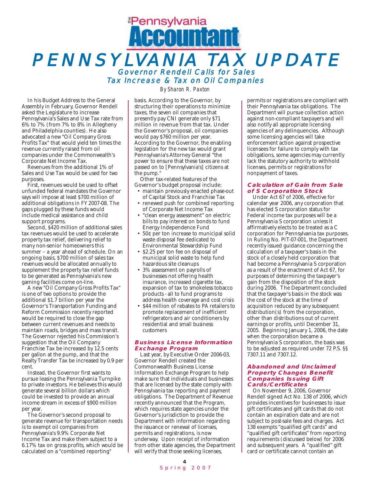# **Pennsylvania** Accountant PENNSYLVANIA TAX UPDATE Governor Rendell Calls for Sales Tax Increase & Tax on Oil Companies

In his Budget Address to the General Assembly in February, Governor Rendell asked the Legislature to increase Pennsylvania's Sales and Use Tax rate from 6% to 7% (from 7% to 8% in Allegheny and Philadelphia counties). He also advocated a new "Oil Company Gross Profits Tax" that would yield ten times the revenue currently raised from oil companies under the Commonwealth's Corporate Net Income Tax.

Revenues from the additional 1% of Sales and Use Tax would be used for two purposes.

First, revenues would be used to offset unfunded federal mandates the Governor says will impose at least \$700 million of additional obligations in FY 2007-08. The gaps plugged by these funds would include medical assistance and child support programs.

Second, \$420 million of additional sales tax revenues would be used to accelerate property tax relief, delivering relief to many non-senior homeowners this summer – a year ahead of schedule. On an ongoing basis, \$700 million of sales tax revenues would be allocated annually to supplement the property tax relief funds to be generated as Pennsylvania's new gaming facilities come on-line.

A new "Oil Company Gross Profits Tax" is one of two options to provide the additional \$1.7 billion per year the Governor's Transportation Funding and Reform Commission recently reported would be required to close the gap between current revenues and needs to maintain roads, bridges and mass transit. The Governor rejected his Commission's suggestion that the Oil Company Franchise Tax be increased by 12.5 cents per gallon at the pump, and that the Realty Transfer Tax be increased by 0.9 per cent.

Instead, the Governor first wants to pursue leasing the Pennsylvania Turnpike to private investors. He believes this would generate several billion dollars which could be invested to provide an annual income stream in excess of \$900 million per year.

The Governor's second proposal to generate revenue for transportation needs is to exempt oil companies from Pennsylvania's 9.9% Corporate Net Income Tax and make them subject to a 6.17% tax on gross profits, which would be calculated on a "combined reporting"

*By Sharon R. Paxton*

basis. According to the Governor, by structuring their operations to minimize taxes, the seven oil companies that presently pay CNI generate only \$71 million in revenue from that tax. Under the Governor's proposal, oil companies would pay \$760 million per year. According to the Governor, the enabling legislation for the new tax would grant Pennsylvania's Attorney General "the power to ensure that these taxes are not passed on to [Pennsylvania's] citizens at the pump."

Other tax-related features of the Governor's budget proposal include:

- maintain previously enacted phase-out of Capital Stock and Franchise Tax
- renewed push for combined reporting of Corporate Net Income Tax
- "clean energy assessment" on electric bills to pay interest on bonds to fund Energy Independence Fund
- 50¢ per ton increase to municipal solid waste disposal fee dedicated to Environmental Stewardship Fund
- \$2.25 per ton fee on disposal of municipal solid waste to help fund hazardous site cleanups
- 3% assessment on payrolls of businesses not offering health insurance, increased cigarette tax, expansion of tax to smokeless tobacco products - all to fund programs to address health coverage and cost crisis
- \$44 million of rebates to PA retailers to promote replacement of inefficient refrigerators and air conditioners by residential and small business customers

#### **Business License Information Exchange Program**

Last year, by Executive Order 2006-03, Governor Rendell created the Commonwealth Business License Information Exchange Program to help make sure that individuals and businesses that are licensed by the state comply with Pennsylvania tax reporting and payment obligations. The Department of Revenue recently announced that the Program, which requires state agencies under the Governor's jurisdiction to provide the Department with information regarding the issuance or renewal of licenses, permits and registrations, is now underway. Upon receipt of information from other state agencies, the Department will verify that those seeking licenses,

permits or registrations are compliant with their Pennsylvania tax obligations. The Department will pursue collection action against non-compliant taxpayers and will also notify all appropriate licensing agencies of any delinquencies. Although some licensing agencies will take enforcement action against prospective licensees for failure to comply with tax obligations, some agencies may currently lack the statutory authority to withhold licenses, permits or registrations for nonpayment of taxes.

#### **Calculation of Gain from Sale of S Corporation Stock**

Under Act 67 of 2006, effective for calendar year 2006, any corporation that has elected S corporation status for Federal income tax purposes will be a Pennsylvania S corporation unless it affirmatively elects to be treated as a C corporation for Pennsylvania tax purposes. In Ruling No. PIT-07-001, the Department recently issued guidance concerning the calculation of a taxpayer's basis in the stock of a closely held corporation that had become a Pennsylvania S corporation as a result of the enactment of Act 67, for purposes of determining the taxpayer's gain from the disposition of the stock during 2006. The Department concluded that the taxpayer's basis in the stock was the cost of the stock at the time of acquisition reduced by any subsequent distribution(s) from the corporation, other than distributions out of current earnings or profits, until December 31, 2005. Beginning January 1, 2006, the date when the corporation became a Pennsylvania S corporation, the basis was to be adjusted as required under 72 P.S. §§ 7307.11 and 7307.12.

#### **Abandoned and Unclaimed Property Changes Benefit Companies Issuing Gift Cards/Certificates**

On November 9, 2006, Governor Rendell signed Act No. 138 of 2006, which provides incentives for businesses to issue gift certificates and gift cards that do not contain an expiration date and are not subject to post-sale fees and charges. Act 138 exempts "qualified gift cards" and "qualified gift certificates" from reporting requirements (discussed below) for 2006 and subsequent years. A "qualified" gift card or certificate cannot contain an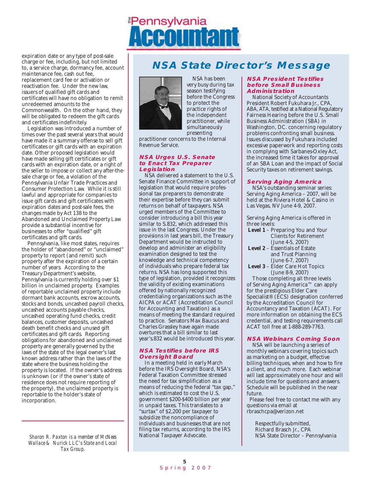

expiration date or any type of post-sale charge or fee, including, but not limited to, a service charge, dormancy fee, account maintenance fee, cash out fee, replacement card fee or activation or reactivation fee. Under the new law, issuers of qualified gift cards and certificates will have no obligation to remit unredeemed amounts to the Commonwealth. On the other hand, they will be obligated to redeem the gift cards and certificates indefinitely.

Legislation was introduced a number of times over the past several years that would have made it a summary offense to sell gift certificates or gift cards with an expiration date. Other proposed legislation would have made selling gift certificates or gift cards with an expiration date, or a right of the seller to impose or collect any after-thesale charge or fee, a violation of the Pennsylvania Unfair Trade Practices and Consumer Protection Law. While it is still lawful and appropriate for companies to issue gift cards and gift certificates with expiration dates and post-sale fees, the changes made by Act 138 to the Abandoned and Unclaimed Property Law provide a substantial incentive for businesses to offer "qualified" gift certificates and gift cards.

Pennsylvania, like most states, requires the holder of "abandoned" or "unclaimed" property to report (and remit) such property after the expiration of a certain number of years. According to the Treasury Department's website, Pennsylvania is currently holding over \$1 billion in unclaimed property. Examples of reportable unclaimed property include dormant bank accounts, escrow accounts, stocks and bonds, uncashed payroll checks, uncashed accounts payable checks, uncashed operating fund checks, credit balances, customer deposits, uncashed death benefit checks and unused gift certificates and gift cards. Reporting obligations for abandoned and unclaimed property are generally governed by the laws of the state of the legal owner's last known address rather than the laws of the state where the business holding the property is located. If the owner's address is unknown (or if the owner's state of residence does not require reporting of the property), the unclaimed property is reportable to the holder's state of incorporation.

*Sharon R. Paxton is a member of McNees Wallace & Nurick LLC's State and Local Tax Group.* 

## **NSA State Director's Message**



NSA has been very busy during tax season testifying before the Congress to protect the practice rights of the independent practitioner, while simultaneously presenting

practitioner concerns to the Internal Revenue Service.

#### **NSA Urges U.S. Senate to Enact Tax Preparer Legislation**

NSA delivered a statement to the U.S. Senate Finance Committee in support of legislation that would require professional tax preparers to demonstrate their expertise before they can submit returns on behalf of taxpayers. NSA urged members of the Committee to consider introducing a bill this year similar to S.832, which addressed this issue in the last Congress. Under the provisions in last years bill, the Treasury Department would be instructed to develop and administer an eligibility examination designed to test the knowledge and technical competency of individuals who prepare federal tax returns. NSA has long supported this type of legislation, provided it recognizes the validity of existing examinations offered by nationally recognized credentialing organizations such as the AICPA or ACAT (Accreditation Council for Accounting and Taxation) as a means of meeting the standard required to practice. Senators Max Baucus and Charles Grassley have again made overtures that a bill similar to last year's.832 would be introduced this year.

#### **NSA Testifies before IRS Oversight Board**

In a meeting held in early March before the IRS Oversight Board, NSA's Federal Taxation Committee stressed the need for tax simplification as a means of reducing the federal "tax gap," which is estimated to cost the U.S. government \$200-\$400 billion per year in unpaid taxes. This translates to a "surtax" of \$2,200 per taxpayer to subsidize the noncompliance of individuals and businesses that are not filing tax returns, according to the IRS National Taxpayer Advocate.

#### **NSA President Testifies before Small Business Administration**

National Society of Accountants President Robert Fukuhara Jr., CPA, ABA, ATA, testified at a National Regulatory Fairness Hearing before the U.S. Small Business Administration (SBA) in Washington, DC. concerning regulatory problems confronting small business. Issues discussed by Fukuhara included excessive paperwork and reporting costs in complying with Sarbanes-Oxley Act, the increased time it takes for approval of an SBA Loan and the impact of Social Security taxes on retirement savings.

#### **Serving Aging America**

NSA's outstanding seminar series: Serving Aging America – 2007, will be held at the Riviera Hotel & Casino in Las Vegas, NV June 4-9, 2007.

Serving Aging America is offered in three levels:

- **Level 1** Preparing You and Your Clients for Retirement (June 4-5, 2007)
- **Level 2** Essentials of Estate and Trust Planning (June 6-7, 2007)
- **Level 3** Elder Care Hot Topics (June 8-9, 2007)

Those completing all three levels of Serving Aging America™ can apply for the prestigious Elder Care Specialist® (ECS) designation conferred by the Accreditation Council for Accountancy and Taxation (ACAT). For more information on obtaining the ECS credential, and testing requirements call ACAT toll free at 1-888-289-7763.

#### **NSA Webinars Coming Soon**

NSA will be launching a series of monthly webinars covering topics such as marketing on a budget, effective billing techniques, when and how to fire a client, and much more. Each webinar will last approximately one hour and will include time for questions and answers. Schedule will be published in the near future.

Please feel free to contact me with any questions via email at rbraschcpa@verizon.net

Respectfully submitted, Richard Brasch Jr., CPA NSA State Director – Pennsylvania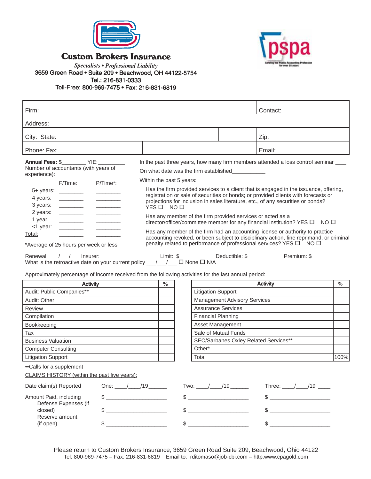

### **Custom Brokers Insurance**



Specialists • Professional Liability 3659 Green Road . Suite 209 . Beachwood, OH 44122-5754 Tel.: 216-831-0333 Toll-Free: 800-969-7475 · Fax: 216-831-6819

Reserve amount<br>(if open)

| Firm:                                                                                                                                                                                                                                                                                                                                                                                                                                                                                                                                                                                                                                                                                                   |                                      |                                                                                                                                                                                                                                                                                                                                                                     |                                     | Contact:                                                                                                                                                                                                                                                                                                                                                                                                                                                                                                                                                                                                                                                                                                |      |
|---------------------------------------------------------------------------------------------------------------------------------------------------------------------------------------------------------------------------------------------------------------------------------------------------------------------------------------------------------------------------------------------------------------------------------------------------------------------------------------------------------------------------------------------------------------------------------------------------------------------------------------------------------------------------------------------------------|--------------------------------------|---------------------------------------------------------------------------------------------------------------------------------------------------------------------------------------------------------------------------------------------------------------------------------------------------------------------------------------------------------------------|-------------------------------------|---------------------------------------------------------------------------------------------------------------------------------------------------------------------------------------------------------------------------------------------------------------------------------------------------------------------------------------------------------------------------------------------------------------------------------------------------------------------------------------------------------------------------------------------------------------------------------------------------------------------------------------------------------------------------------------------------------|------|
| Address:                                                                                                                                                                                                                                                                                                                                                                                                                                                                                                                                                                                                                                                                                                |                                      |                                                                                                                                                                                                                                                                                                                                                                     |                                     |                                                                                                                                                                                                                                                                                                                                                                                                                                                                                                                                                                                                                                                                                                         |      |
| City: State:                                                                                                                                                                                                                                                                                                                                                                                                                                                                                                                                                                                                                                                                                            |                                      |                                                                                                                                                                                                                                                                                                                                                                     |                                     | Zip:                                                                                                                                                                                                                                                                                                                                                                                                                                                                                                                                                                                                                                                                                                    |      |
| Phone: Fax:                                                                                                                                                                                                                                                                                                                                                                                                                                                                                                                                                                                                                                                                                             |                                      |                                                                                                                                                                                                                                                                                                                                                                     |                                     | Email:                                                                                                                                                                                                                                                                                                                                                                                                                                                                                                                                                                                                                                                                                                  |      |
| Annual Fees: \$___________ YIE:__________<br>Number of accountants (with years of<br>experience):<br>F/Time:<br>P/Time*:<br>5+ years: _________<br>4 years:<br><u> De Carlos de la p</u><br>3 years:<br><u> 1989 - Andrea Stein</u><br>2 years:<br>$\mathcal{L}^{\text{max}}_{\text{max}}$ . The set of $\mathcal{L}^{\text{max}}_{\text{max}}$<br>1 year:<br><1 year:<br>Total:<br>*Average of 25 hours per week or less<br>Renewal: $\frac{1}{1}$ / $\frac{1}{1}$ Insurer: $\frac{1}{1}$ Insurer: Limit: $\frac{1}{1}$ Limit: $\frac{1}{1}$ Deductible: $\frac{1}{1}$ Deductible: $\frac{1}{1}$ Deductible: $\frac{1}{1}$ Deductible: $\frac{1}{1}$ Deductible: $\frac{1}{1}$ Deductible: $\frac{1}{$ | Within the past 5 years:<br>YES□ NO□ | On what date was the firm established____________<br>Has any member of the firm provided services or acted as a                                                                                                                                                                                                                                                     |                                     | In the past three years, how many firm members attended a loss control seminar ___<br>Has the firm provided services to a client that is engaged in the issuance, offering,<br>registration or sale of securities or bonds; or provided clients with forecasts or<br>projections for inclusion in sales literature, etc., of any securities or bonds?<br>director/officer/committee member for any financial institution? YES $\square$ NO $\square$<br>Has any member of the firm had an accounting license or authority to practice<br>accounting revoked, or been subject to disciplinary action, fine reprimand, or criminal<br>penalty related to performance of professional services? YES O NO O |      |
| Approximately percentage of income received from the following activities for the last annual period:<br><b>Activity</b>                                                                                                                                                                                                                                                                                                                                                                                                                                                                                                                                                                                | $\%$                                 |                                                                                                                                                                                                                                                                                                                                                                     |                                     | <b>Activity</b>                                                                                                                                                                                                                                                                                                                                                                                                                                                                                                                                                                                                                                                                                         | $\%$ |
| Audit: Public Companies**                                                                                                                                                                                                                                                                                                                                                                                                                                                                                                                                                                                                                                                                               |                                      | <b>Litigation Support</b>                                                                                                                                                                                                                                                                                                                                           |                                     |                                                                                                                                                                                                                                                                                                                                                                                                                                                                                                                                                                                                                                                                                                         |      |
| Audit: Other                                                                                                                                                                                                                                                                                                                                                                                                                                                                                                                                                                                                                                                                                            |                                      |                                                                                                                                                                                                                                                                                                                                                                     | <b>Management Advisory Services</b> |                                                                                                                                                                                                                                                                                                                                                                                                                                                                                                                                                                                                                                                                                                         |      |
| <b>Review</b>                                                                                                                                                                                                                                                                                                                                                                                                                                                                                                                                                                                                                                                                                           |                                      | <b>Assurance Services</b>                                                                                                                                                                                                                                                                                                                                           |                                     |                                                                                                                                                                                                                                                                                                                                                                                                                                                                                                                                                                                                                                                                                                         |      |
| Compilation                                                                                                                                                                                                                                                                                                                                                                                                                                                                                                                                                                                                                                                                                             |                                      | <b>Financial Planning</b>                                                                                                                                                                                                                                                                                                                                           |                                     |                                                                                                                                                                                                                                                                                                                                                                                                                                                                                                                                                                                                                                                                                                         |      |
| Bookkeeping                                                                                                                                                                                                                                                                                                                                                                                                                                                                                                                                                                                                                                                                                             |                                      | Asset Management                                                                                                                                                                                                                                                                                                                                                    |                                     |                                                                                                                                                                                                                                                                                                                                                                                                                                                                                                                                                                                                                                                                                                         |      |
| Tax                                                                                                                                                                                                                                                                                                                                                                                                                                                                                                                                                                                                                                                                                                     |                                      |                                                                                                                                                                                                                                                                                                                                                                     | Sale of Mutual Funds                |                                                                                                                                                                                                                                                                                                                                                                                                                                                                                                                                                                                                                                                                                                         |      |
| <b>Business Valuation</b>                                                                                                                                                                                                                                                                                                                                                                                                                                                                                                                                                                                                                                                                               |                                      |                                                                                                                                                                                                                                                                                                                                                                     |                                     | SEC/Sarbanes Oxley Related Services**                                                                                                                                                                                                                                                                                                                                                                                                                                                                                                                                                                                                                                                                   |      |
| <b>Computer Consulting</b>                                                                                                                                                                                                                                                                                                                                                                                                                                                                                                                                                                                                                                                                              |                                      | Other*                                                                                                                                                                                                                                                                                                                                                              |                                     |                                                                                                                                                                                                                                                                                                                                                                                                                                                                                                                                                                                                                                                                                                         |      |
| <b>Litigation Support</b>                                                                                                                                                                                                                                                                                                                                                                                                                                                                                                                                                                                                                                                                               |                                      | Total                                                                                                                                                                                                                                                                                                                                                               |                                     |                                                                                                                                                                                                                                                                                                                                                                                                                                                                                                                                                                                                                                                                                                         | 100% |
| •• Calls for a supplement<br>CLAIMS HISTORY (within the past five years):                                                                                                                                                                                                                                                                                                                                                                                                                                                                                                                                                                                                                               |                                      |                                                                                                                                                                                                                                                                                                                                                                     |                                     |                                                                                                                                                                                                                                                                                                                                                                                                                                                                                                                                                                                                                                                                                                         |      |
| Date claim(s) Reported                                                                                                                                                                                                                                                                                                                                                                                                                                                                                                                                                                                                                                                                                  | One: $/$ /19                         |                                                                                                                                                                                                                                                                                                                                                                     | Two: $\frac{1}{19}$ /19             | Three: $\frac{1}{2}$ /19 ____                                                                                                                                                                                                                                                                                                                                                                                                                                                                                                                                                                                                                                                                           |      |
| Amount Paid, including<br>Defense Expenses (if                                                                                                                                                                                                                                                                                                                                                                                                                                                                                                                                                                                                                                                          | $\frac{1}{2}$                        | $\begin{picture}(20,10) \put(0,0){\vector(1,0){100}} \put(15,0){\vector(1,0){100}} \put(15,0){\vector(1,0){100}} \put(15,0){\vector(1,0){100}} \put(15,0){\vector(1,0){100}} \put(15,0){\vector(1,0){100}} \put(15,0){\vector(1,0){100}} \put(15,0){\vector(1,0){100}} \put(15,0){\vector(1,0){100}} \put(15,0){\vector(1,0){100}} \put(15,0){\vector(1,0){100}} \$ |                                     | $\begin{array}{c} \updownarrow \\ \updownarrow \end{array}$                                                                                                                                                                                                                                                                                                                                                                                                                                                                                                                                                                                                                                             |      |

Please return to Custom Brokers Insurance, 3659 Green Road Suite 209, Beachwood, Ohio 44122 Tel: 800-969-7475 – Fax: 216-831-6819 Email to: rditomaso@job-cbi.com – http:www.cpagold.com

 $\text{closed}$   $\text{\$}$   $\text{\$}$   $\text{\$}$   $\text{\$}$   $\text{\$}$   $\text{\$}$   $\text{\$}$   $\text{\$}$   $\text{\$}$   $\text{\$}$   $\text{\$}$   $\text{\$}$   $\text{\$}$   $\text{\$}$   $\text{\$}$ 

 $\text{\$}$   $\text{\$}$   $\text{\$}$   $\text{\$}$   $\text{\$}$   $\text{\$}$   $\text{\$}$   $\text{\$}$   $\text{\$}$   $\text{\$}$   $\text{\$}$   $\text{\$}$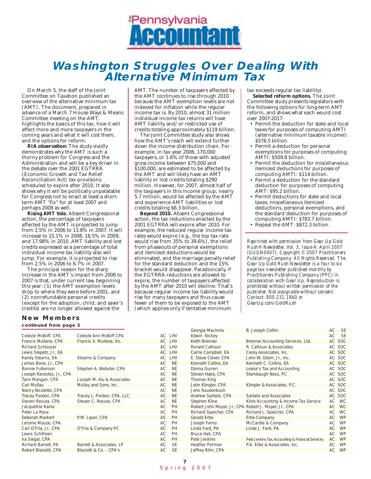

# **Washington Struggles Over Dealing With Alternative Minimum Tax**

On March 5, the staff of the Joint Committee on Taxation published an overview of the alternative minimum tax (AMT). The document, prepared in advance of a March 7 House Ways & Means Committee meeting on the AMT, highlights the basics of this tax, how it will affect more and more taxpayers in the coming years and what it will cost them, and the options for reform.

**RIA observation:** The study vividly demonstrates why the AMT is such a thorny problem for Congress and the Administration and will be a key driver in the debate over the 2001 EGTRRA (Economic Growth and Tax Relief Reconciliation Act) tax provisions scheduled to expire after 2010. It also shows why it will be politically unpalatable for Congress not to enact at least a shortterm AMT "fix" for at least 2007 and perhaps 2008 as well.

**Rising AMT tide.** Absent Congressional action, the percentage of taxpayers affected by the AMT is projected to jump from 2.5% in 2006 to 13.8% in 2007. It will increase to 15.1% in 2008, 16.5% in 2009, and 17.98% in 2010. AMT liability and lost credits expressed as a percentage of total individual income tax liability also will jump. For example, it is projected to rise from 2.5% in 2006 to 6.7% in 2007.

The principal reason for the sharp increase in the AMT's impact from 2006 to 2007 is that, under current law, beginning this year: (1) the AMT exemption levels drop to where they were before 2001, and (2) nonrefundable personal credits (except for the adoption, child, and saver's credits) are no longer allowed against the

AMT. The number of taxpayers affected by the AMT continues to rise through 2010 because the AMT exemption levels are not indexed for inflation while the regular income tax is. By 2010, almost 31 million individual income tax returns will have AMT liability and/or restricted use of credits totaling approximately \$119 billion.

The Joint Committee study also shows how the AMT's reach will extend further down the income distribution chain. For example, in tax year 2006, 170,000 taxpayers, or 1.6% of those with adjusted gross income between \$75,000 and \$100,000, are estimated to be affected by the AMT and will likely have an AMT liability or lost credits totaling \$290 million. However, for 2007, almost half of the taxpayers in this income group, nearly 5.7 million, would be affected by the AMT and experience AMT liabilities or lost credits totaling \$6.3 billion.

**Beyond 2010.** Absent Congressional action, the tax reductions enacted by the 2001 EGTRRA will expire after 2010. For example, the reduced regular income tax rates would expire (e.g., the top tax rate would rise from 35% to 39.6%), the relief from phaseouts of personal exemptions and itemized deductions would be eliminated, and the marriage penalty relief for the standard deduction and the 15% bracket would disappear. Paradoxically, if the EGTRRA reductions are allowed to expire, the number of taxpayers affected by the AMT after 2010 will decline. That's because regular income tax liability would rise for many taxpayers and thus cause fewer of them to be exposed to the AMT (which applies only if tentative minimum

tax exceeds regular tax liability).

**Selected reform options.** The Joint Committee study presents legislators with the following options for long-term AMT reform, and shows what each would cost over 2007-2017:

- Permit the deduction for state and local taxes for purposes of computing AMTI (alternative minimum taxable income): \$576.5 billion.
- Permit a deduction for personal exemptions for purposes of computing AMTI: \$509.8 billion.
- Permit the deduction for miscellaneous itemized deductions for purposes of computing AMTI: \$114 billion.
- Permit a deduction for the standard deduction for purposes of computing AMT: \$95.2 billion.
- Permit deductions for state and local taxes, miscellaneous itemized deductions, personal exemptions, and the standard deduction for purposes of computing AMTI: \$783.7 billion.
- Repeal the AMT: \$872.3 billion.

*Reprinted with permission from Gear Up Gold Rush® Newsletter, Vol. 3, Issue 4: April 2007 (GUGN0407). Copyright © 2007 Practitioners Publishing Company. All Rights Reserved. The Gear Up Gold Rush Newsletter is a four to six page tax newsletter published monthly by Practitioners Publishing Company (PPC) in collaboration with Gear Up. Reproduction is prohibited without written permission of the publisher. Not assignable without consent. Contact: 800.231.1860 or GearUp.com/GoldRush*

### **New Members**

| continued from page 3     |                            |     |           |                                                       |                                                   |           |           |  |
|---------------------------|----------------------------|-----|-----------|-------------------------------------------------------|---------------------------------------------------|-----------|-----------|--|
|                           |                            |     |           | Georgia MacInnis                                      | B. Joseph Cellini                                 | <b>AC</b> | <b>SE</b> |  |
| Celeste Midkiff, CPA      | Celeste Ann Midkiff CPA    |     | AC LHV    | Edwin Nickey                                          |                                                   | AC        | - SE      |  |
| Francis Mullane, CPA      | Francis X. Mullane, Inc.   |     | AC LHV    | <b>Keith Brenner</b>                                  | Brenner Accounting Services, Ltd.                 |           | AC SOC    |  |
| <b>Richard Schlosser</b>  |                            |     | AC LHV    | Ronald Calhoun                                        | R. Calhoun & Associates                           |           | AC SOC    |  |
| Lewis Slepetz, Jr., EA    |                            |     | AC LHV    | Carrie Campbell, EA                                   | Carey Associates, Inc.                            |           | AC SOC    |  |
| Kandy Stearns, EA         | Stearns & Company          |     | AC LHV    | E. Steve Clever, CPA                                  | John W. Gleim, Jr., Inc.                          |           | AC SOC    |  |
| James Bone, Jr., CPA      |                            | AC. | <b>NE</b> | Kenneth Collins, EA                                   | Kenneth C. Collins, EA                            |           | AC SOC    |  |
| Bonnie Fulkerson          | Stephen A. Webster, CPA    | AC  | <b>NE</b> | Donna Gurreri                                         | Lease's Tax and Accounting                        |           | AC SOC    |  |
| Joseph Kerestes, Jr., CPA |                            | AC  | <b>NE</b> | Steven Hake, CPA                                      | Stambaugh Ness, PC                                |           | AC SOC    |  |
| Tami Mangan, CPA          | Joseph M. Alu & Associates | AC  | <b>NE</b> | Thomas King                                           |                                                   |           | AC SOC    |  |
| <b>Carl Mullay</b>        | Mullay and Sons, Inc.      | AC  | <b>NE</b> | John Klingler, CPA                                    | Klingler & Associates, P.C.                       |           | AC SOC    |  |
| Nancy Nicoletto, CPA      |                            | AC  | <b>NE</b> | John Raudenbush                                       |                                                   |           | AC SOC    |  |
| Tracey Pordon, CPA        | Tracey L. Pordon, CPA, LLC | AC  | <b>NE</b> | Andrew Sartalis, CPA                                  | Sartalis and Associates                           |           | AC SOC    |  |
| Steven Resuta, CPA        | Steven C. Resuta, CPA      | AC  | <b>NE</b> | Stephen Kline                                         | Kline Accounting & Income Tax Service             |           | AC WC     |  |
| Jacqueline Kania          |                            | AC. | PH        | Robert John Moyer, Jr., CPA Robert J. Moyer, Jr., CPA |                                                   |           | AC WC     |  |
| Peter La Rosa             |                            | АC  | PH        | Richard Speicher, CPA                                 | Richard L. Speicher, CPA                          |           | AC WC     |  |
| Deborah Markert           | P.M. Lipari, CPA           | AS. | PH        | <b>Gerald Erbe</b>                                    | Erbe Company                                      | AC        | <b>WP</b> |  |
| Jerome Mauze, CPA         |                            | AC  | PH        | Joseph Ferno                                          | McCardle & Company                                | AC        | <b>WP</b> |  |
| Carl O'Fria, Jr., CPA     | O'Fria & Company PC        | AC. | PH        | Linda Ford, PA                                        | Linda J. Ford, PA                                 | AC        | WP        |  |
| Lewis Schifreen           |                            | AC  | PH        | Bruce Hall, CPA                                       |                                                   | AC        | <b>WP</b> |  |
| Ira Siegal, CPA           |                            | AC. | PH        | Pete Jenkins                                          | Pete Jenkins Tax, Accounting & Financial Services | AC        | WP        |  |
| Richard Barrett, PA       | Barrett & Associates, LP   | AC  | <b>SE</b> | Heather Perman                                        | P.A. Erbe & Associates, Inc.                      | AC        | <b>WP</b> |  |
| Robert Blasiotti, CPA     | Blasiotti & Co. - CPA's    | AC  | <b>SE</b> | Jeffrey Rihn, CPA                                     |                                                   | AC        | WP        |  |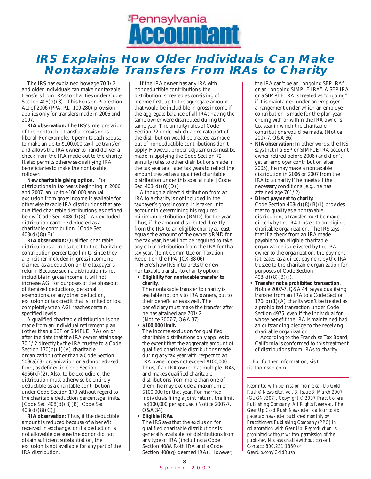

# **IRS Explains How Older Individuals Can Make Nontaxable Transfers From IRAs to Charity**

The IRS has explained how age 70 1/2 and older individuals can make nontaxable transfers from IRAs to charities under Code Section  $408(d)(8)$ . This Pension Protection Act of 2006 (PPA, P.L. 109-280) provision applies only for transfers made in 2006 and 2007.

**RIA observation:** The IRS's interpretation of the nontaxable transfer provision is liberal. For example, it permits each spouse to make an up-to-\$100,000 tax-free transfer, and allows the IRA owner to hand-deliver a check from the IRA made out to the charity. It also permits otherwise-qualifying IRA beneficiaries to make the nontaxable rollover.

**New charitable giving option.** For distributions in tax years beginning in 2006 and 2007, an up-to-\$100,000 annual exclusion from gross income is available for otherwise taxable IRA distributions that are qualified charitable distributions, as defined below [Code Sec. 408(d)(8)]. An excluded distribution can't be deducted as a charitable contribution. [Code Sec.  $408(d)(8(E)]$ 

**RIA observation:** Qualified charitable distributions aren't subject to the charitable contribution percentage limits, since they are neither included in gross income nor claimed as a deduction on the taxpayer's return. Because such a distribution is not includible in gross income, it will not increase AGI for purposes of the phaseout of itemized deductions, personal exemptions, or any other deduction, exclusion or tax credit that is limited or lost completely when AGI reaches certain specified levels.

A qualified charitable distribution is one made from an individual retirement plan (other than a SEP or SIMPLE IRA) on or after the date that the IRA owner attains age 70 1/2 directly by the IRA trustee to a Code Section  $170(b)(1)(A)$  charitable organization (other than a Code Section  $509(a)(3)$  organization or a donor advised fund, as defined in Code Section  $4966(d)(2)$ . Also, to be excludible, the distribution must otherwise be entirely deductible as a charitable contribution under Code Section 170 without regard to the charitable deduction percentage limits.  $[Code Sec. 408(d)(8)(B), Code Sec.$ 408(d)(8)(C)]

**RIA observation:** Thus, if the deductible amount is reduced because of a benefit received in exchange, or if a deduction is not allowable because the donor did not obtain sufficient substantiation, the exclusion is not available for any part of the IRA distribution.

If the IRA owner has any IRA with nondeductible contributions, the distribution is treated as consisting of income first, up to the aggregate amount that would be includible in gross income if the aggregate balance of all IRAs having the same owner were distributed during the same year. The annuity rules of Code Section 72 under which a pro rata part of the distribution would be treated as made out of nondeductible contributions don't apply. However, proper adjustments must be made in applying the Code Section 72 annuity rules to other distributions made in the tax year and later tax years to reflect the amount treated as a qualified charitable distribution under this special rule. [Code Sec. 408(d)(8)(D)]

Although a direct distribution from an IRA to a charity is not included in the taxpayer's gross income, it is taken into account in determining his required minimum distribution (RMD) for the year. Thus, if the amount distributed directly from the IRA to an eligible charity at least equals the amount of the owner's RMD for the tax year, he will not be required to take any other distribution from the IRA for that tax year. (Joint Committee on Taxation Report on the PPA, JCX-38-06)

Here's how IRS interprets the new nontaxable transfer-to-charity option:

#### • **Eligibility for nontaxable transfer to charity.**

The nontaxable transfer to charity is available not only to IRA owners, but to their beneficiaries as well. The beneficiary must make the transfer after he has attained age 701/2. (Notice 2007-7, Q&A 37)

#### • **\$100,000 limit.**

The income exclusion for qualified charitable distributions only applies to the extent that the aggregate amount of qualified charitable distributions made during any tax year with respect to an IRA owner does not exceed \$100,000. Thus, if an IRA owner has multiple IRAs, and makes qualified charitable distributions from more than one of them, he may exclude a maximum of \$100,000 for that year. For married individuals filing a joint return, the limit is \$100,000 per spouse. (Notice 2007-7, Q&A 34)

#### • **Eligible IRAs.**

The IRS says that the exclusion for qualified charitable distributions is generally available for distributions from any type of IRA (including a Code Section 408A Roth IRA and a Code Section 408(q) deemed IRA). However,

the IRA can't be an "ongoing SEP IRA" or an "ongoing SIMPLE IRA". A SEP IRA or a SIMPLE IRA is treated as "ongoing" if it is maintained under an employer arrangement under which an employer contribution is made for the plan year ending with or within the IRA owner's tax year in which the charitable contributions would be made. (Notice 2007-7, Q&A 36)

- **RIA observation:** In other words, the IRS says that if a SEP or SIMPLE IRA account owner retired before 2006 (and didn't get an employer contribution after 2005), he may make a nontaxable distribution in 2006 or 2007 from the IRA to a charity if he meets all the necessary conditions (e.g., he has attained age 701/2).
- **Direct payment to charity.**  Code Section  $408(d)(8)(B)(i)$  provides that to qualify as a nontaxable distribution, a transfer must be made directly by the IRA trustee to an eligible charitable organization. The IRS says that if a check from an IRA made payable to an eligible charitable organization is delivered by the IRA owner to the organization, the payment is treated as a direct payment by the IRA trustee to the charitable organization for purposes of Code Section  $408(d)(8)(B)(i)$ .
- **Transfer not a prohibited transaction.**  Notice 2007-7, Q&A 44, says a qualifying transfer from an IRA to a Code Section  $170(b)(1)(A)$  charity won't be treated as a prohibited transaction under Code Section 4975, even if the individual for whose benefit the IRA is maintained had an outstanding pledge to the receiving charitable organization.

According to the Franchise Tax Board, California is conformed to this treatment of distributions from IRAs to charity.

For further information, visit ria.thomson.com.

*Reprinted with permission from Gear Up Gold Rush® Newsletter, Vol. 3, Issue 3: March 2007 (GUGN0307). Copyright © 2007 Practitioners Publishing Company. All Rights Reserved. The Gear Up Gold Rush Newsletter is a four to six page tax newsletter published monthly by Practitioners Publishing Company (PPC) in collaboration with Gear Up. Reproduction is prohibited without written permission of the publisher. Not assignable without consent. Contact: 800.231.1860 or GearUp.com/GoldRush*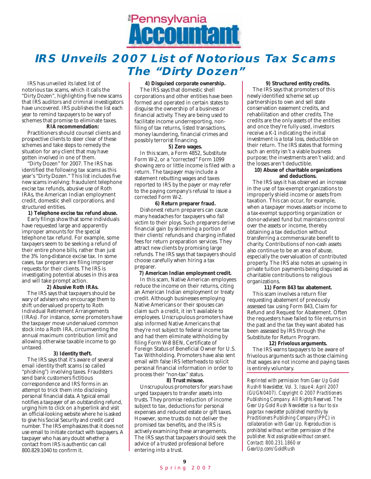

# **IRS Unveils 2007 List of Notorious Tax Scams The "Dirty Dozen"**

IRS has unveiled its latest list of notorious tax scams, which it calls the "Dirty Dozen", highlighting five new scams that IRS auditors and criminal investigators have uncovered. IRS publishes the list each year to remind taxpayers to be wary of schemes that promise to eliminate taxes.

#### **RIA recommendation:**

Practitioners should counsel clients and prospective clients to steer clear of these schemes and take steps to remedy the situation for any client that may have gotten involved in one of them.

"Dirty Dozen" for 2007. The IRS has identified the following tax scams as this year's "Dirty Dozen." This list includes five new scams involving: fraudulent telephone excise tax refunds, abusive use of Roth IRAs, the American Indian employment credit, domestic shell corporations, and structured entities.

#### **1) Telephone excise tax refund abuse.**

Early filings show that some individuals have requested large and apparently improper amounts for the special telephone tax refund. For example, some taxpayers seem to be seeking a refund of their entire phone bills, rather than just the 3% long-distance excise tax. In some cases, tax preparers are filing improper requests for their clients. The IRS is investigating potential abuses in this area and will take prompt action.

#### **2) Abusive Roth IRAs.**

The IRS says that taxpayers should be wary of advisers who encourage them to shift undervalued property to Roth Individual Retirement Arrangements (IRAs). For instance, some promoters have the taxpayer move undervalued common stock into a Roth IRA, circumventing the annual maximum contribution limit and allowing otherwise taxable income to go untaxed.

#### **3) Identity theft.**

The IRS says that it's aware of several email identity theft scams (so called "phishing") involving taxes. Fraudsters send bank customers fictitious correspondence and IRS forms in an attempt to trick them into disclosing personal financial data. A typical email notifies a taxpayer of an outstanding refund, urging him to click on a hyperlink and visit an official-looking website where he is asked to give his Social Security and credit card number. The IRS emphasizes that it does not use email to initiate contact with taxpayers. A taxpayer who has any doubt whether a contact from IRS is authentic can call 800.829.1040 to confirm it.

#### **4) Disguised corporate ownership.**

The IRS says that domestic shell corporations and other entities have been formed and operated in certain states to disguise the ownership of a business or financial activity. They are being used to facilitate income underreporting, nonfiling of tax returns, listed transactions, money laundering, financial crimes and possibly terrorist financing.

#### **5) Zero wages.**

In this scam, a Form 4852, Substitute Form W-2, or a "corrected" Form 1099 showing zero or little income is filed with a return. The taxpayer may include a statement rebutting wages and taxes reported to IRS by the payer or may refer to the paying company's refusal to issue a corrected Form W-2.

#### **6) Return preparer fraud.**

Dishonest return preparers can cause many headaches for taxpayers who fall victim to their ploys. Such preparers derive financial gain by skimming a portion of their clients' refunds and charging inflated fees for return preparation services. They attract new clients by promising large refunds. The IRS says that taxpayers should choose carefully when hiring a tax preparer.

#### **7) American Indian employment credit.**

In this scam, Native American employees reduce the income on their returns, citing an American Indian employment or treaty credit. Although businesses employing Native Americans or their spouses can claim such a credit, it isn't available to employees. Unscrupulous promoters have also informed Native Americans that they're not subject to federal income tax and had them eliminate withholding by filing Form W-8 BEN, Certificate of Foreign Status of Beneficial Owner for U.S. Tax Withholding. Promoters have also sent email with false IRS letterheads to solicit personal financial information in order to process their "non-tax" status.

#### **8) Trust misuse.**

Unscrupulous promoters for years have urged taxpayers to transfer assets into trusts. They promise reduction of income subject to tax, deductions for personal expenses and reduced estate or gift taxes. However, some trusts do not deliver the promised tax benefits, and the IRS is actively examining these arrangements. The IRS says that taxpayers should seek the advice of a trusted professional before entering into a trust.

#### **9) Structured entity credits.**

The IRS says that promoters of this newly identified scheme set up partnerships to own and sell state conservation easement credits, and rehabilitation and other credits. The credits are the only assets of the entities and once they're fully used, investors receive a K-1 indicating the initial investment is a total loss, deductible on their return. The IRS states that forming such an entity isn't a viable business purpose; the investments aren't valid; and the losses aren't deductible.

#### **10) Abuse of charitable organizations and deductions.**

The IRS says it has observed an increase in the use of tax-exempt organizations to improperly shield income or assets from taxation. This can occur, for example, when a taxpayer moves assets or income to a tax-exempt supporting organization or donor-advised fund but maintains control over the assets or income, thereby obtaining a tax deduction without transferring a commensurate benefit to charity. Contributions of non-cash assets also continue to be an area of abuse, especially the overvaluation of contributed property. The IRS also notes an upswing in private tuition payments being disguised as charitable contributions to religious organizations.

#### **11) Form 843 tax abatement.**

This scam involves a return filer requesting abatement of previously assessed tax using Form 843, Claim for Refund and Request for Abatement. Often the requesters have failed to file returns in the past and the tax they want abated has been assessed by IRS through the Substitute for Return Program.

#### **12) Frivolous arguments.**

The IRS warns taxpayers to be aware of frivolous arguments such as those claiming that wages are not income and paying taxes is entirely voluntary.

*Reprinted with permission from Gear Up Gold Rush® Newsletter, Vol. 3, Issue 4: April 2007 (GUGN0407). Copyright © 2007 Practitioners Publishing Company. All Rights Reserved. The Gear Up Gold Rush Newsletter is a four to six page tax newsletter published monthly by Practitioners Publishing Company (PPC) in collaboration with Gear Up. Reproduction is prohibited without written permission of the publisher. Not assignable without consent. Contact: 800.231.1860 or GearUp.com/GoldRush*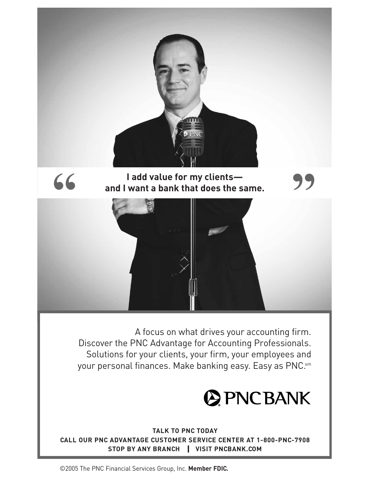

# **I add value for my clients and I want a bank that does the same.**



A focus on what drives your accounting firm. Discover the PNC Advantage for Accounting Professionals. Solutions for your clients, your firm, your employees and your personal finances. Make banking easy. Easy as PNC.sm



**TALK TO PNC TODAY CALL OUR PNC ADVANTAGE CUSTOMER SERVICE CENTER AT 1-800-PNC-7908 STOP BY ANY BRANCH VISIT PNCBANK.COM** 

©2005 The PNC Financial Services Group, Inc. **Member FDIC.**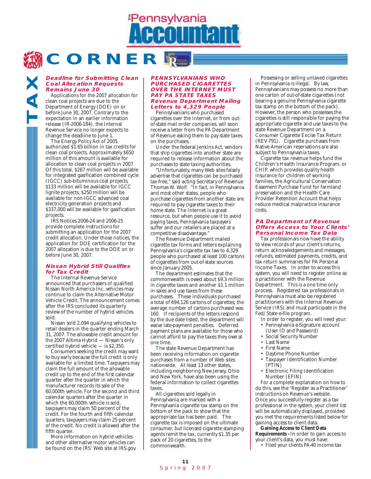**CORNER**

#### **Deadline for Submitting Clean Coal Allocation Requests Remains June 30**

Applications for the 2007 allocation for clean coal projects are due to the Department of Energy (DOE) on or before June 30, 2007. Contrary to the expectation in an earlier information release (IR-2006-184), the Internal Revenue Service no longer expects to change the deadline to June 1.

**TAX**

The Energy Policy Act of 2005 authorized \$1.65 billion in tax credits for clean coal projects. Approximately \$650 million of this amount is available for allocation to clean coal projects in 2007. Of this total, \$267 million will be available for integrated gasification combined cycle (IGCC) sub-bituminous coal projects, \$133 million will be available for IGCC lignite projects, \$250 million will be available for non-IGCC advanced coal electricity generation projects and \$337,000 will be available for gasification projects.

IRS Notices 2006-24 and 2006-25 provide complete instructions for submitting an application for the 2007 credit allocation. Under those notices, the application for DOE certification for the 2007 allocation is due to the DOE on or before June 30, 2007.

#### **Nissan Hybrid Still Qualifies for Tax Credit**

The Internal Revenue Service announced that purchasers of qualified Nissan North America Inc. vehicles may continue to claim the Alternative Motor Vehicle Credit. The announcement comes after the IRS concluded its quarterly review of the number of hybrid vehicles sold.

Nissan sold 2,094 qualifying vehicles to retail dealers in the quarter ending March 31, 2007. The allowable credit amount for the 2007 Altima Hybrid — Nissan's only certified hybrid vehicle — is \$2,350.

Consumers seeking the credit may want to buy early because the full credit is only available for a limited time. Taxpayers may claim the full amount of the allowable credit up to the end of the first calendar quarter after the quarter in which the manufacturer records its sale of the 60,000th vehicle. For the second and third calendar quarters after the quarter in which the 60,000th vehicle is sold, taxpayers may claim 50 percent of the credit. For the fourth and fifth calendar quarters, taxpayers may claim 25 percent of the credit. No credit is allowed after the fifth quarter.

More information on hybrid vehicles and other alternative motor vehicles can be found on the IRS' Web site at IRS.gov.

#### **PENNSYLVANIANS WHO PURCHASED CIGARETTES OVER THE INTERNET MUST PAY PA STATE TAXES Revenue Department Mailing Letters to 4,329 People**

**Pennsylvania** 

Pennsylvanians who purchased cigarettes over the Internet, or from outof-state mail order companies, will soon receive a letter from the PA Department of Revenue asking them to pay state taxes on the purchases.

Under the federal Jenkins Act, vendors that ship cigarettes into another state are required to release information about the purchases to state taxing authorities.

"Unfortunately, many Web sites falsely advertise that cigarettes can be purchased tax-free," said acting Secretary of Revenue Thomas W. Wolf. "In fact, in Pennsylvania and most other states, people who purchase cigarettes from another state are required to pay cigarette taxes to their home state. The Internet is a great resource, but when people use it to avoid paying taxes, Pennsylvania taxpayers suffer and our retailers are placed at a competitive disadvantage."

The Revenue Department mailed cigarette tax forms and letters explaining Pennsylvania's cigarette tax law to 4,329 people who purchased at least 100 cartons of cigarettes from out-of-state sources since January 2005.

The department estimates that the commonwealth is owed about \$9.3 million in cigarette taxes and another \$1.1 million in sales and use taxes from these purchases. These individuals purchased a total of 694,126 cartons of cigarettes; the average number of cartons purchased was 160. If recipients of the letters respond by the due date listed, the department will waive late-payment penalties. Deferred payment plans are available for those who cannot afford to pay the taxes they owe at one time.

The state Revenue Department has been receiving information on cigarette purchases from a number of Web sites nationwide. At least 13 other states, including neighboring New Jersey, Ohio and New York, have also been using the federal information to collect cigarettes taxes.

All cigarettes sold legally in Pennsylvania are marked with a Pennsylvania cigarette tax stamp on the bottom of the pack to show that the appropriate tax has been paid. The cigarette tax is imposed on the ultimate consumer, but licensed cigarette stamping agents remit the tax, currently \$1.35 per pack of 20 cigarettes, to the commonwealth.

Possessing or selling untaxed cigarettes in Pennsylvania is illegal. By law, Pennsylvanians may possess no more than one carton of out-of-state cigarettes (not bearing a genuine Pennsylvania cigarette tax stamp on the bottom of the pack). However, the person who possesses the cigarettes is still responsible for paying the appropriate cigarette and use taxes to the state Revenue Department on a Consumer Cigarette Excise Tax Return (REV-791). Cigarette purchases from Native American reservations are also subject to Pennsylvania taxes.

Cigarette tax revenue helps fund the Children's Health Insurance Program, or CHIP, which provides quality health insurance for children of working families, the Agricultural Conservation Easement Purchase Fund for farmland preservation and the Health Care Provider Retention Account that helps reduce medical malpractice insurance costs.

#### **PA Department of Revenue Offers Access to Your Clients' Personal Income Tax Data**

Tax professionals now have the ability to view records of your client's returns, return acknowledgements and messages, refunds, estimated payments, credits, and tax return summaries for PA Personal Income Taxes. In order to access this system, you will need to register online as a practitioner with the Revenue Department. This is a one time only process. Registered tax professionals in Pennsylvania must also be registered practitioners with the Internal Revenue Service (IRS) and must participate in the Fed/State e-file program.

- In order to register, you will need your: • Pennsylvania e-Signature account
	- (User ID and Password)
- Social Security Number
- Last Name
- First Name
- Daytime Phone Number
- Taxpayer Identification Number (PTIN)
- Electronic Filing Identification Number (EFIN)

For a complete explanation on how to do this, see the 'Register as a Practitioner' instructions on Revenue's website. Once you successfully register as a tax professional in the system, your client list will be automatically displayed, provided you met the requirements listed below for gaining access to client data.

**Gaining Access to Client Data Requirements -** In order to gain access to your client's data, you must have:

• Filed your clients PA-40 income tax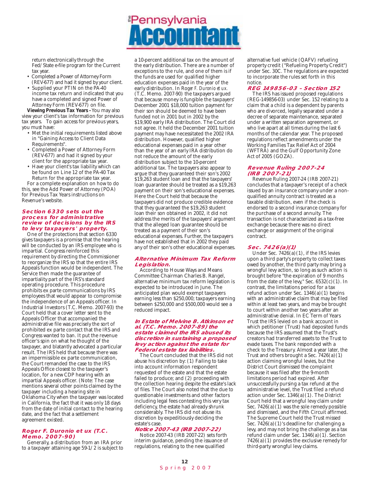return electronically through the Fed/State e-file program for the Current tax year.

- Completed a Power of Attorney Form (REV-677) and had it signed by your client.
- Supplied your PTIN on the PA-40 income tax return and indicated that you have a completed and signed Power of Attorney Form (REV-677) on file.

**Viewing Previous Tax Years -** You may also view your client's tax information for previous tax years. To gain access for previous years, you must have:

- Met the initial requirements listed above in "Gaining Access to Client Data Requirements".
- Completed a Power of Attorney Form (REV-677) and had it signed by your client for the appropriate tax year.
- Have your client's tax liability which can be found on Line 12 of the PA-40 Tax Return for the appropriate tax year.

For a complete explanation on how to do this, see the Add Power of Attorney (POA) for Previous Tax Years instructions on Revenue's website.

#### **Section 6330 sets out the process for administrative review of decisions by the IRS to levy taxpayers' property.**

One of the protections that section 6330 gives taxpayers is a promise that the hearing will be conducted by an IRS employee who is impartial. Congress reinforced this requirement by directing the Commissioner to reorganize the IRS so that the entire IRS Appeals function would be independent. The Service then made the guarantee of impartiality part of the IRS's standard operating procedure. This procedure prohibits ex parte communications by IRS employees that would appear to compromise the independence of an Appeals officer. In Industrial Investors (T.C. Memo. 2007-93) the Court held that a cover letter sent to the Appeals Officer that accompanied the administrative file was precisely the sort of prohibited ex parte contact that the IRS and Congress wanted to ban. It put the revenue officer's spin on what he thought of the taxpayer, and blatantly advocated a particular result. The IRS held that because there was an impermissible ex parte communication, the Court remanded the case to the IRS Appeals Office closest to the taxpayer's location, for a new CDP hearing with an impartial Appeals officer. (Note: The case mentions several other points claimed by the taxpayer including a hearing site in Oklahoma City when the taxpayer was located in California, the fact that it was only 18 days from the date of initial contact to the hearing date, and the fact that a settlement agreement existed.

#### **Roger F. Duronio et ux (T.C. Memo. 2007-90)**

Generally, a distribution from an IRA prior to a taxpayer attaining age 59-1/2 is subject to a 10-percent additional tax on the amount of the early distribution. There are a number of exceptions to the rule, and one of them is if the funds are used for qualified higher education expenses paid in the year of the early distribution. In Ro*ger F. Duronio et ux.* (T.C. Memo. 2007-90) the taxpayers argued that because money is fungible the taxpayers' December 2001 \$18,000 tuition payment for their son should be deemed to have been funded not in 2001 but in 2002 by the \$19,900 early IRA distribution. The Court did not agree. It held the December 2001 tuition payment may have necessitated the 2002 IRA distribution. However, qualified higher educational expenses paid in a year other than the year of an early IRA distribution do not reduce the amount of the early distribution subject to the 10-percent additional tax. The taxpayers also appear to argue that they guaranteed their son's 2002 \$19,263 student loan and that the taxpayers' loan guarantee should be treated as a \$19,263 payment on their son's educational expenses. Here the Court held that because the taxpayers did not produce credible evidence that they guaranteed the \$19,263 student loan their son obtained in 2002, it did not address the merits of the taxpayers' argument that the alleged loan guarantee should be treated as a payment of their son's educational expenses. Further, the taxpayers have not established that in 2002 they paid any of their son's other educational expenses.

**Pennsylvania** 

#### **Alternative Minimum Tax Reform Legislation.**

According to House Ways and Means Committee Chairman Charles B. Rangel, alternative minimum tax reform legislation is expected to be introduced in June. The anticipated plan would exempt taxpayers earning less than \$250,000; taxpayers earning between \$250,000 and \$500,000 would see a reduced impact.

#### **In Estate of Melvine B. Atkinson et al. (T.C. Memo. 2007-89) the estate claimed the IRS abused its discretion in sustaining a proposed levy action against the estate for Federal estate tax liabilities.**

The Court concluded that the IRS did not abuse his discretion by: (1) Failing to take into account information respondent requested of the estate and that the estate failed to produce; and (2) proceeding with the collection hearing despite the estate's lack of files. The Court also noted that the due to questionable investments and other factors including legal fees contesting this very tax deficiency, the estate had already shrunk considerably. The IRS did not abuse its discretion by expeditiously deciding the estate's case.

#### **Notice 2007-43 (IRB 2007-22)**

Notice 2007-43 (IRB 2007-22) sets forth interim guidance, pending the issuance of regulations, relating to the new qualified

alternative fuel vehicle (QAFV) refueling property credit ("Refueling Property Credit") under Sec. 30C. The regulations are expected to incorporate the rules set forth in this notice.

#### **REG 149856-03 – Section 152**

The IRS has issued proposed regulations (REG-149856-03) under Sec. 152 relating to a claim that a child is a dependent by parents who are divorced, legally separated under a decree of separate maintenance, separated under a written separation agreement, or who live apart at all times during the last 6 months of the calendar year. The proposed regulations reflect amendments under the Working Families Tax Relief Act of 2004 (WFTRA) and the Gulf Opportunity Zone Act of 2005 (GOZA).

#### **Revenue Ruling 2007-24 (IRB 2007-21)**

Revenue Ruling 2007-24 (IRB 2007-21) concludes that a taxpayer's receipt of a check issued by an insurance company under a nonqualified annuity contract is treated as a taxable distribution, even if the check is endorsed to a second insurance company for the purchase of a second annuity. The transaction is not characterized as a tax-free exchange because there was no direct exchange or assignment of the original contract.

#### **Sec. 7426(a)(1)**

Under Sec. 7426(a)(1), if the IRS levies upon a third party's property to collect taxes owed by another, the third party may bring a wrongful levy action, so long as such action is brought before "the expiration of 9 months from the date of the levy," Sec. 6532(c)(1). In contrast, the limitations period for a tax refund action under Sec. 1346(a)(1) begins with an administrative claim that may be filed within at least two years, and may be brought to court within another two years after an administrative denial. In EC Term of Years Trust the IRS levied on a bank account in which petitioner (Trust) had deposited funds because the IRS assumed that the Trust's creators had transferred assets to the Trust to evade taxes. The bank responded with a check to the Treasury. Almost a year later, the Trust and others brought a Sec. 7426(a)(1) action claiming wrongful levies, but the District Court dismissed the complaint because it was filed after the 9-month limitations period had expired. After unsuccessfully pursing a tax refund at the administrative level, the Trust filed a refund action under Sec. 1346(a)(1). The District Court held that a wrongful levy claim under Sec.  $7426(a)(1)$  was the sole remedy possible and dismissed, and the Fifth Circuit affirmed. The Supreme Court held the Trust missed Sec.  $7426(a)(1)$ 's deadline for challenging a levy, and may not bring the challenge as a tax refund claim under Sec. 1346(a)(1). Section  $7426(a)(1)$  provides the exclusive remedy for third-party wrongful levy claims.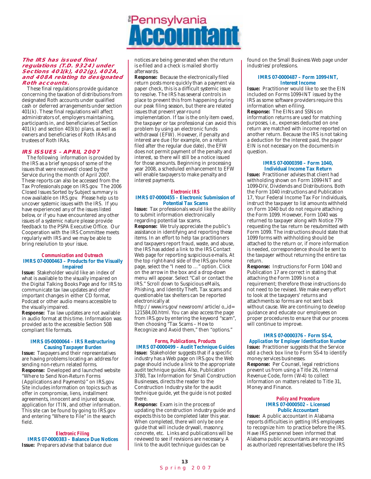#### **The IRS has issued final regulations (T.D. 9324) under Sections 401(k), 402(g), 402A, and 408A relating to designated Roth accounts.**

These final regulations provide guidance concerning the taxation of distributions from designated Roth accounts under qualified cash or deferred arrangements under section 401(k). These final regulations will affect administrators of, employers maintaining, participants in, and beneficiaries of Section  $401(k)$  and section 403(b) plans, as well as owners and beneficiaries of Roth IRAs and trustees of Roth IRAs.

#### **IRS ISSUES – APRIL 2007**

The following information is provided by the IRS as a brief synopsis of some of the issues that were received/closed by the Service during the month of April 2007. These reports can also be accessed from the Tax Professionals page on IRS.gov. The 2006 Closed Issues Sorted by Subject summary is now available on IRS.gov. Please help us to uncover systemic issues with the IRS. If you have experienced any of the issues listed below, or if you have encountered any other issues of a systemic nature please provide feedback to the PSPA Executive Office. Our Cooperation with the IRS Committee meets regularly with IRS and we may be able to bring resolution to your issue.

#### *Communication and Outreach* **IMRS 07-0000463 – Products for the Visually Impaired**

**Issue:** Stakeholder would like an index of what is available to the visually impaired on the Digital Talking Books Page and for IRS to communicate tax law updates and other important changes in either CD format, Podcast or other audio means accessible to the visually impaired.

**Response:** Tax law updates are not available in audio format at this time. Information was provided as to the accessible Section 508 compliant file formats.

#### **IMRS 05-0000064 – IRS Restructuring Causing Taxpayer Burden**

**Issue:** Taxpayers and their representatives are having problems locating an address for sending non-return related forms. **Response:** Developed and launched website "Where to Send Non-Return Forms (Applications and Payments)" on IRS.gov. Site includes information on topics such as offer in compromise, liens, installment agreements, innocent and injured spouse, application for ITIN, and other information. This site can be found by going to IRS.gov and entering "Where to File" in the search field.

*Electronic Filing* **IMRS 07-0000383 – Balance Due Notices Issue:** Preparers advise that balance due

# **Pennsylvania**

notices are being generated when the return is e-filed and a check is mailed shortly afterwards.

**Response:** Because the electronically filed return posts more quickly than a payment via paper check, this is a difficult systemic issue to resolve. The IRS has several controls in place to prevent this from happening during our peak filing season, but there are related issues that prevent year-round implementation. If tax is the only item owed, the taxpayer or tax professional can avoid this problem by using an electronic funds withdrawal (EFW). However, if penalty and interest are due (for example, on a return filed after the regular due date), the EFW does not permit payment of the penalty and interest, so there will still be a notice issued for those amounts. Beginning in processing year 2008, a scheduled enhancement to EFW will enable taxpayers to make penalty and interest payments.

#### *Electronic IRS* **IMRS 07-0000455 – Electronic Submission of Potential Tax Scams**

**Issue:** Tax professionals would like the ability to submit information electronically regarding potential tax scams. **Response:** We truly appreciate the public's assistance in identifying and reporting these items. In an effort to help tax practitioners and taxpayers report fraud, waste, and abuse, the IRS has added a link to the IRS Contact Web page for reporting suspicious e-mails. At the top right-hand side of the IRS.gov home page, select the "I need to …" option. Click on the arrow in the box and a drop-down menu will appear. Select "Call or contact the IRS." Scroll down to Suspicious eMails, Phishing, and Identity Theft. Tax scams and questionable tax shelters can be reported electronically at

http://www.irs.gov/newsroom/article/o,,id= 121584,00.html. You can also access the page from IRS.gov by entering the keyword "scam", then choosing "Tax Scams – How to Recognize and Avoid them," then "options."

### *Forms, Publications, Products*

**IMRS 07-0000499 – Audit Technique Guides Issue:** Stakeholder suggests that if a specific industry has a Web page on IRS.gov, the Web page should include a link to the appropriate audit technique guides. Also, Publication 3780, Tax Information for Small Construction Businesses, directs the reader to the Construction Industry site for the audit technique guide, yet the guide is not posted there.

**Response:** Exam is in the process of updating the construction industry guide and expects this to be completed later this year. When completed, there will only be one guide that will include drywall, masonry, concrete, etc. Links and publications will be reviewed to see if revisions are necessary. A link to the audit technique guides can be

found on the Small Business Web page under industries/professions.

#### **IMRS 07-0000487 – Form 1099-INT, Interest Income**

**Issue:** Practitioner would like to see the EIN included on Forms 1099-INT issued by the IRS as some software providers require this information when e-filing. **Response:** The EINs and SSNs on

information returns are used for matching purposes, i.e., expenses deducted on one return are matched with income reported on another return. Because the IRS is not taking a deduction for the interest paid, the payor EIN is not necessary on the documents in question.

#### **IMRS 07-0000398 – Form 1040, Individual Income Tax Return**

**Issue:** Practitioner advises that client had withholding shown on Form 1099-INT and 1099-DIV, Dividends and Distributions. Both the Form 1040 instructions and Publication 17, Your Federal Income Tax For Individuals, instruct the taxpayer to list amounts withheld on Form 1040 but do not require attaching the Form 1099. However, Form 1040 was returned to taxpayer along with Notice 779 requesting the tax return be resubmitted with Form 1099. The instructions should state that 1099 forms with withholding should be attached to the return or, if more information is needed, correspondence should be sent to the taxpayer without returning the entire tax return.

**Response:** Instructions for Form 1040 and Publication 17 are correct in stating that attaching the Form 1099 is not a requirement; therefore those instructions do not need to be revised. We make every effort to look at the taxpayers' returns and attachments so forms are not sent back without cause. We are continuing to develop guidance and educate our employees on proper procedures to ensure that our process will continue to improve.

#### **IMRS 07-0000376 – Form SS-4,**  *Application for Employer Identification Number*

**Issue:** Practitioner suggests that the Service add a check box line to Form SS-4 to identify money services businesses. **Response:** Per Counsel, legal restrictions prevent us from using a Title 26, Internal Revenue Code, form (W-4) to collect information on matters related to Title 31, Money and Finance.

#### *Policy and Procedure* **IMRS 07-0000502 – Licensed Public Accountant**

**Issue:** A public accountant in Alabama reports difficulties in getting IRS employees to recognize him to practice before the IRS. Have IRS personnel been informed that Alabama public accountants are recognized as authorized representatives before the IRS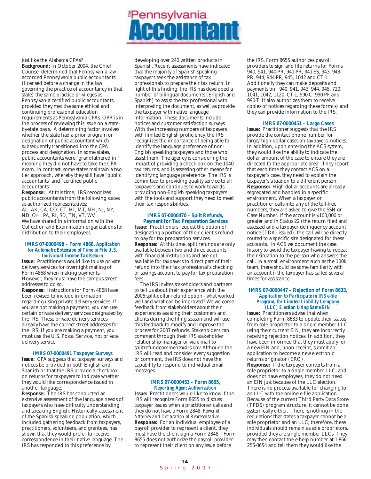# **Pennsylvania**

just like the Alabama CPAs?

**Background:** In October 2004, the Chief Counsel determined that Pennsylvania law accorded Pennsylvania public accountants (licensed before a change in the law governing the practice of accountancy in that state) the same practice privileges as Pennsylvania certified public accountants, provided they met the same ethical and continuing professional education requirements as Pennsylvania CPAs. OPR is in the process of reviewing this issue on a stateby-state basis. A determining factor involves whether the state had a prior program or designation of public accountant which subsequently transitioned into the CPA process and designation. In some states, public accountants were "grandfathered in," meaning they did not have to take the CPA exam. In contrast, some states maintain a two tier approach, whereby they still have "public accountants" and "certified public accountants".

**Response:** At this time, IRS recognizes public accountants from the following states as authorized representatives: AL, AK, CA, CO, CT, HI, MT, NH, NJ, NY, ND, OH, PA, RI, SD, TN, VT, WV We have shared this information with the Collection and Examination organizations for distribution to their employees.

#### **IMRS 07-0000498 – Form 4868,** *Application for Automatic Extension of Time to File U.S. Individual Income Tax Return*

**Issue:** Practitioners would like to use private delivery services for overnight mailing of Form 4868 when making payments. However, they must have the campus street addresses to do so.

**Response:** Instructions for Form 4868 have been revised to include information regarding using private delivery services. If you are not making a payment, you can use certain private delivery services designated by the IRS. These private delivery services already have the correct street addresses for the IRS. If you are making a payment, you must use the U.S. Postal Service, not private delivery service.

#### **IMRS 07-0000491 Taxpayer Surveys**

**Issue:** CPA suggests that taxpayer surveys and notices be provided in both English and Spanish or that the IRS provide a checkbox on returns for taxpayers to indicate whether they would like correspondence issued in another language.

**Response:** The IRS has conducted an extensive assessment of the language needs of taxpayers who have difficulty understanding and speaking English. Historically, assessment of the Spanish speaking population, which included gathering feedback from taxpayers, practitioners, volunteers, and grantees, has shown that they would prefer to receive correspondence in their native language. The IRS has responded to this preference by

developing over 240 written products in Spanish. Recent assessments have indicated that the majority of Spanish speaking taxpayers seek the assistance of tax professionals to prepare their tax return. In light of this finding, the IRS has developed a number of bilingual documents (English and Spanish) to assist the tax professional with interpreting the document, as well as provide the taxpayer with native language information. These documents include notices and customer satisfaction surveys. With the increasing numbers of taxpayers with limited English proficiency, the IRS recognizes the importance of being able to identify the language preference of non-English speaking taxpayers and those who assist them. The agency is considering the impact of providing a check box on the 1040 tax returns, and is assessing other means for identifying language preference. The IRS is committed to providing quality service to all taxpayers and continues to work towards providing non-English speaking taxpayers with the tools and support they need to meet their tax responsibilities.

#### **IMRS 07-0000470 – Split Refunds, Payment for Tax Preparation Services**

**Issue:** Practitioners request the option of designating a portion of their client's refund to pay for tax preparation services. **Response:** At this time, split refunds are only available between two and three accounts with financial institutions and are not available for taxpayers to direct part of their refund into their tax professional's checking or savings account to pay for tax preparation fees.

The IRS invites stakeholders and partners to tell us about their experience with the 2006 split-dollar refund option - what worked well and what can be improved? We welcome feedback from stakeholders about their experiences assisting their customers and clients during the filing season and will use this feedback to modify and improve the process for 2007 refunds. Stakeholders can comment through their IRS stakeholder relationship manager or via e-mail to splitrefundcomments@irs.gov. Although the IRS will read and consider every suggestion or comment, the IRS does not have the capability to respond to individual email messages.

#### **IMRS 07-0000453 – Form 8655,**  *Reporting Agent Authorization*

**Issue:** Practitioners would like to know if the IRS will recognize Form 8655 to discuss taxpayer issues when a practitioner calls and they do not have a Form 2848, *Power of Attorney and Declaration of Representative.* **Response:** For an individual employee of a payroll provider to represent a client, they must have the client sign a Form 2848. Form 8655 does not authorize the payroll provider to represent their client on any issue before

the IRS. Form 8655 authorizes payroll providers to sign and file returns for Forms 940, 941, 940-PR, 941-PR, 941-SS, 943, 943- PR, 944, 944-PR, 945, 1042 and CT-1. Additionally they can make deposits and payments on: 940, 941, 943, 944, 945, 720, 1041, 1042, 1120, CT-1, 990-C, 990-PF and 990-T. It also authorizes them to receive copies of notices regarding these form(s) and they can provide information to the IRS.

#### **IMRS 07-0000451 – Large Cases**

**Issue:** Practitioner suggests that the IRS provide the contact phone number for large/high dollar cases on taxpayers' notices. In addition, upon entering the ACS system, they would like the ability to indicate the dollar amount of the case to ensure they are directed to the appropriate area. They report that each time they contact ACS on a taxpayer's case, they need to explain the taxpayer's situation to a different person. **Response:** High dollar accounts are already segregated and handled in a specific environment. When a taxpayer or practitioner calls into any of the toll-free numbers, they are asked to give the SSN or Case Number. If the account is \$100,000 or greater and in Status 22 (the return filed and assessed and a taxpayer delinquency account notice (TDA) issued), the call will be directly routed to a specific site designated for these accounts. In ACS we document the case history to avoid the taxpayer having to repeat their situation to the person who answers the call. In a small environment such as the 100k team, there should be some familiarity with an account if the taxpayer has called several times for assistance.

#### **IMRS 07-0000447 – Rejection of Form 8633,** *Application to Participate in IRS e-file Program, for Limited Liability Company (LLC) Election Using Same EIN*

**Issue:** Practitioners advise that when completing Form 8633 to update their status from sole proprietor to a single member LLC using their current EIN, they are incorrectly receiving rejection notices. In addition, they have been informed that they must apply for a new EIN and, upon receipt, submit an application to become a new electronic returns originator (ERO).

**Response:** If the taxpayer converts from a sole proprietor to a single member LLC, and does not have employees, they do not need an EIN just because of the LLC election. There is no process available for changing to an LLC with the online e-file application. Because of the current Third Party Data Store (TPDS) program structure, it cannot be done systemically either. There is nothing in the regulations that states a taxpayer cannot be a sole proprietor and an LLC; therefore, these individuals should remain as sole proprietors, provided they are single member LLCs. They may then contact the e-help number at 1-866- 255-0654 and tell them they would like the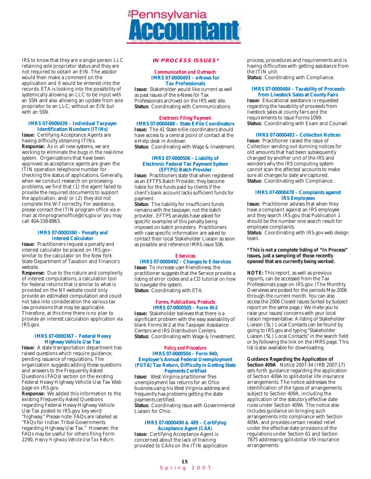

IRS to know that they are a single person LLC retaining sole proprietor status and they are not required to obtain an EIN. The assistor would then make a comment on the application and it would be entered into the records. ETA is looking into the possibility of systemically allowing an LLC to be input with an SSN and also allowing an update from sole proprietor to an LLC, without an EIN but with an SSN.

#### **IMRS 07-0000439 – Individual Taxpayer Identification Numbers (ITINs)**

**Issue:** Certifying Acceptance Agents are having difficulty obtaining ITINs. **Response:** As in all new systems, we are working to eliminate the bugs in the real-time system. Organizations that have been approved as acceptance agents are given the ITIN operation telephone number for checking the status of applications. Generally, when we conduct research on processing problems, we find that (1) the agent failed to provide the required documents to support the application, and/or (2) they did not complete the W-7 correctly. For assistance, please contact the ITIN program office via email at itinprogramoffice@irs.gov or you may call 404-338-8963.

#### **IMRS 07-0000390 – Penalty and Interest Calculator**

**Issue:** Practitioners request a penalty and interest calculator be placed on IRS.gov similar to the calculator on the New York State Department of Taxation and Finance's website.

**Response:** Due to the nature and complexity of interest computations, a calculation tool for federal returns that is similar to what is provided on the NY website could only provide an estimated computation and could not take into consideration the various tax law provisions that may be applicable. Therefore, at this time there is no plan to provide an interest calculation application via IRS.gov.

#### **IMRS 07-0000367 – Federal Heavy Highway Vehicle Use Tax**

**Issue:** A state transportation department has raised questions which require guidance, pending issuance of regulations. The organization suggests adding these questions and answers to the Frequently Asked Questions (FAQs) section on the existing Federal Heavy Highway Vehicle Use Tax Web page on IRS.gov.

**Response:** We added this information to the existing Frequently Asked Questions regarding Federal Heavy Highway Vehicle Use Tax posted to IRS.gov, key word: "highway." Please note: FAQs are labeled as "FAQs for Indian Tribal Governments regarding Highway Use Tax." However, the FAQs may be useful for others filing Form 2290, *Heavy Highway Vehicle Use Tax Return.*

#### **IN PROCESS ISSUES\***

#### *Communication and Outreach* **IMRS 07-0000493 – e-News for Tax Professionals**

**Issue:** Stakeholder would like current as well as past issues of the e-News for Tax Professionals archived on the IRS web site. **Status:** Coordinating with Communications.

#### *Electronic Filing/Payment* **IMRS 07-0000488 – State E-File Coordinators**

**Issue:** The 41 State e-file coordinators should have access to a central point of contact at the e-Help desk in Andover.

**Status:** Coordinating with Wage & Investment.

#### **IMRS 07-0000506 – Liability of Electronic Federal Tax Payment System (EFTPS) Batch Provider**

**Issue:** Practitioners state that when registered as an EFTPS Batch Provider, they become liable for the funds paid by clients if the client's bank account lacks sufficient funds for payment.

**Status:** The liability for insufficient funds remains with the taxpayer, not the batch provider. EFTPS analysts have asked for specific examples of this penalty being imposed on batch providers. Practitioners with case specific information are asked to contact their local Stakeholder Liaison as soon as possible and reference IMRS issue 506.

#### *E-Services*

### **IMRS 07-0000492 – Changes to E-Services**

**Issue:** To increase user-friendliness, the practitioner suggests that the Service provide a listing of error codes and a CD tutorial on how to navigate the system. **Status:** Coordinating with ETA.

#### *Forms, Publications, Products* **IMRS 07-0000505 – Form W-2**

**Issue:** Stakeholder believes that there is a significant problem with the easy availability of blank Forms W-2 at the Taxpayer Assistance Centers and IRS Distribution Centers. **Status:** Coordinating with Wage & Investment.

#### *Policy and Procedure* **IMRS 07-0000504 – Form 940, Employer's Annual Federal Unemployment (FUTA) Tax Return, Difficulty in Getting State Payments Certified**

**Issue:** West Virginia practitioner files unemployment tax returns for an Ohio business using his West Virginia address and frequently has problems getting the state payments certified. **Status:** Coordinating issue with Governmental

Liaison for Ohio.

#### **IMRS 07-0000490 & 489 – Certifying Acceptance Agent (CAA**)

**Issue:** Certifying Acceptance Agent is concerned about the lack of training provided to CAAs on the ITIN application process, procedures and requirements and is having difficulties with getting assistance from the ITIN unit.

**Status:** Coordinating with Compliance.

#### **IMRS 07-0000484 – Taxability of Proceeds from Livestock Sales at County Fairs**

**Issue:** Educational assistance is requested regarding the taxability of proceeds from livestock sales at county fairs and the requirements to issue Forms 1099. **Status:** Coordinating with Exam and Counsel.

#### **IMRS 07-0000483 – Collection Notices**

**Issue:** Practitioner raised the issue of Collection sending out dunning notices for old amounts that had been subsequently changed by another unit of the IRS and wonders why the IRS computing system cannot scan the affected accounts to make sure all changes to date are captured. **Status:** Coordinating with Compliance.

#### **IMRS 07-0000478 – Complaints against IRS Employees**

**Issue:** Practitioner advises that when they have a complaint against an IRS employee and they search IRS.gov, that Publication 1 should be the number one search result for employee complaints.

**Status:** Coordinating with IRS.gov web design team.

#### **\*This is not a complete listing of "In Process" issues, just a sampling of those recently opened that are currently being worked.**

**NOTE:** This report, as well as previous reports, can be accessed from the Tax Professionals page on IRS.gov. (The Monthly Overviews are posted for the periods May 2006 through the current month. You can also access the 2006 Closed Issues Sorted by Subject report on the same page.) We invite you to raise your issues/concerns with your local liaison representative. A listing of Stakeholder Liaison (SL) Local Contacts can be found by going to IRS.gov and typing "Stakeholder Liaison (SL) Local Contacts" in the search field or by following the link on the IMRS page. This list is also available for downloading.

#### **Guidance Regarding the Application of**

**Section 409A** Notice 2007-34 (IRB 2007-17) sets forth guidance regarding the application of Section 409A to split-dollar life insurance arrangements. The notice addresses the identification of the types of arrangements subject to Section 409A, including the application of the statutory effective date rules under Section 409A. The notice also includes guidance on bringing such arrangements into compliance with Section 409A, and provides certain related relief under the effective date provisions of the regulations under Section 61 and Section 7875 addressing split-dollar life insurance arrangements.